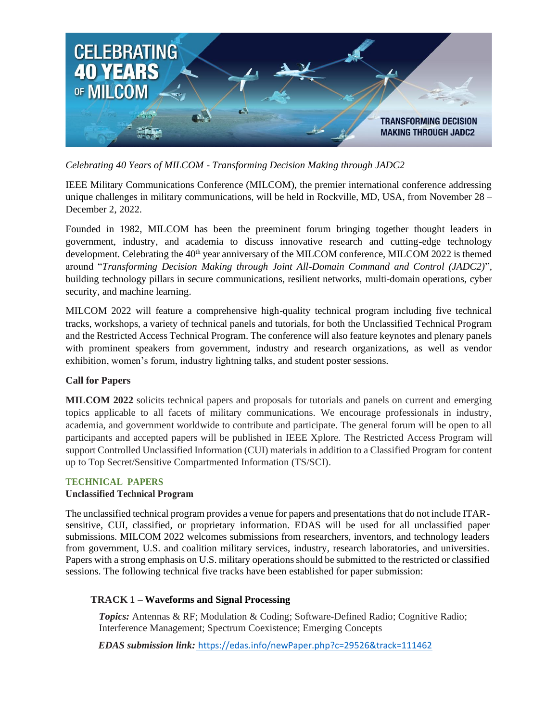

*Celebrating 40 Years of MILCOM - Transforming Decision Making through JADC2* 

IEEE Military Communications Conference (MILCOM), the premier international conference addressing unique challenges in military communications, will be held in Rockville, MD, USA, from November  $28 -$ December 2, 2022.

Founded in 1982, MILCOM has been the preeminent forum bringing together thought leaders in government, industry, and academia to discuss innovative research and cutting-edge technology development. Celebrating the  $40<sup>th</sup>$  year anniversary of the MILCOM conference, MILCOM 2022 is themed around "*Transforming Decision Making through Joint All-Domain Command and Control (JADC2)*", building technology pillars in secure communications, resilient networks, multi-domain operations, cyber security, and machine learning.

MILCOM 2022 will feature a comprehensive high-quality technical program including five technical tracks, workshops, a variety of technical panels and tutorials, for both the Unclassified Technical Program and the Restricted Access Technical Program. The conference will also feature keynotes and plenary panels with prominent speakers from government, industry and research organizations, as well as vendor exhibition, women's forum, industry lightning talks, and student poster sessions.

# **Call for Papers**

**MILCOM 2022** solicits technical papers and proposals for tutorials and panels on current and emerging topics applicable to all facets of military communications. We encourage professionals in industry, academia, and government worldwide to contribute and participate. The general forum will be open to all participants and accepted papers will be published in IEEE Xplore. The Restricted Access Program will support Controlled Unclassified Information (CUI) materials in addition to a Classified Program for content up to Top Secret/Sensitive Compartmented Information (TS/SCI).

#### **TECHNICAL PAPERS**

#### **Unclassified Technical Program**

The unclassified technical program provides a venue for papers and presentations that do not include ITARsensitive, CUI, classified, or proprietary information. EDAS will be used for all unclassified paper submissions. MILCOM 2022 welcomes submissions from researchers, inventors, and technology leaders from government, U.S. and coalition military services, industry, research laboratories, and universities. Papers with a strong emphasis on U.S. military operations should be submitted to the restricted or classified sessions. The following technical five tracks have been established for paper submission:

# **TRACK 1 – Waveforms and Signal Processing**

*Topics:* Antennas & RF; Modulation & Coding; Software-Defined Radio; Cognitive Radio; Interference Management; Spectrum Coexistence; Emerging Concepts

*EDAS submission link:* <https://edas.info/newPaper.php?c=29526&track=111462>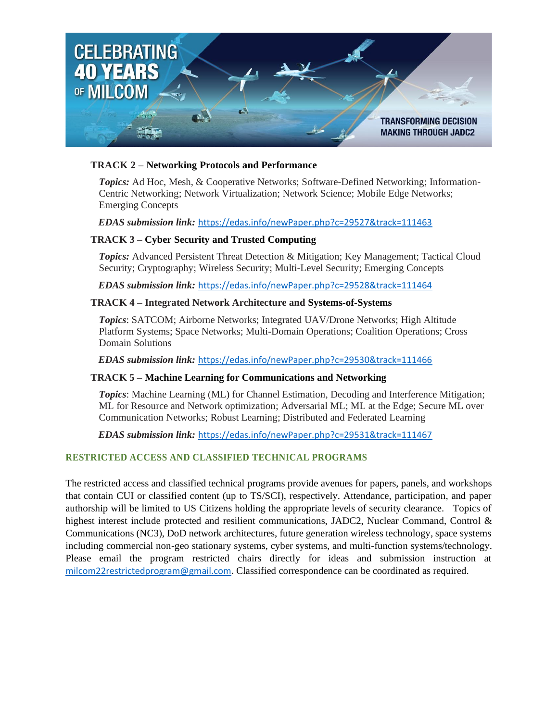

### **TRACK 2 – Networking Protocols and Performance**

*Topics:* Ad Hoc, Mesh, & Cooperative Networks; Software-Defined Networking; Information-Centric Networking; Network Virtualization; Network Science; Mobile Edge Networks; Emerging Concepts

#### *EDAS submission link:* <https://edas.info/newPaper.php?c=29527&track=111463>

### **TRACK 3 – Cyber Security and Trusted Computing**

*Topics:* Advanced Persistent Threat Detection & Mitigation; Key Management; Tactical Cloud Security; Cryptography; Wireless Security; Multi-Level Security; Emerging Concepts

*EDAS submission link:* <https://edas.info/newPaper.php?c=29528&track=111464>

#### **TRACK 4 – Integrated Network Architecture and Systems-of-Systems**

*Topics*: SATCOM; Airborne Networks; Integrated UAV/Drone Networks; High Altitude Platform Systems; Space Networks; Multi-Domain Operations; Coalition Operations; Cross Domain Solutions

*EDAS submission link:* <https://edas.info/newPaper.php?c=29530&track=111466>

#### **TRACK 5 – Machine Learning for Communications and Networking**

*Topics*: Machine Learning (ML) for Channel Estimation, Decoding and Interference Mitigation; ML for Resource and Network optimization; Adversarial ML; ML at the Edge; Secure ML over Communication Networks; Robust Learning; Distributed and Federated Learning

*EDAS submission link:* <https://edas.info/newPaper.php?c=29531&track=111467>

# **RESTRICTED ACCESS AND CLASSIFIED TECHNICAL PROGRAMS**

The restricted access and classified technical programs provide avenues for papers, panels, and workshops that contain CUI or classified content (up to TS/SCI), respectively. Attendance, participation, and paper authorship will be limited to US Citizens holding the appropriate levels of security clearance. Topics of highest interest include protected and resilient communications, JADC2, Nuclear Command, Control & Communications (NC3), DoD network architectures, future generation wireless technology, space systems including commercial non-geo stationary systems, cyber systems, and multi-function systems/technology. Please email the program restricted chairs directly for ideas and submission instruction at [milcom22restrictedprogram@gmail.com.](mailto:milcom22restrictedprogram@gmail.com) Classified correspondence can be coordinated as required.